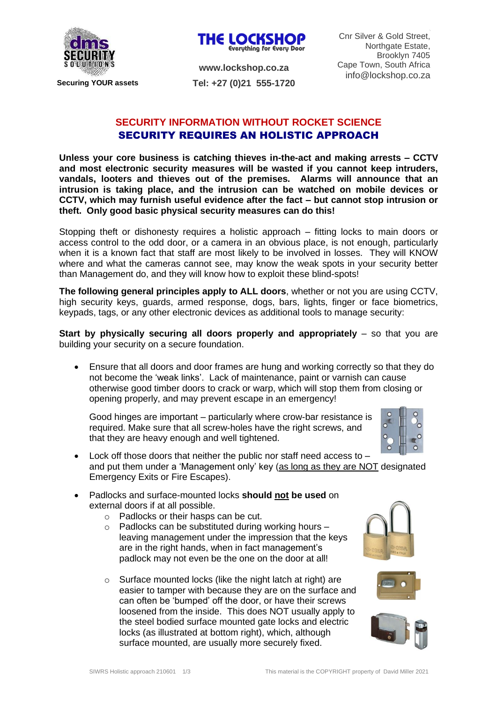



**www.lockshop.co.za Tel: +27 (0)21 555-1720**

## **SECURITY INFORMATION WITHOUT ROCKET SCIENCE** SECURITY REQUIRES AN HOLISTIC APPROACH

**Unless your core business is catching thieves in-the-act and making arrests – CCTV and most electronic security measures will be wasted if you cannot keep intruders, vandals, looters and thieves out of the premises. Alarms will announce that an intrusion is taking place, and the intrusion can be watched on mobile devices or CCTV, which may furnish useful evidence after the fact – but cannot stop intrusion or theft. Only good basic physical security measures can do this!**

Stopping theft or dishonesty requires a holistic approach – fitting locks to main doors or access control to the odd door, or a camera in an obvious place, is not enough, particularly when it is a known fact that staff are most likely to be involved in losses. They will KNOW where and what the cameras cannot see, may know the weak spots in your security better than Management do, and they will know how to exploit these blind-spots!

**The following general principles apply to ALL doors**, whether or not you are using CCTV, high security keys, guards, armed response, dogs, bars, lights, finger or face biometrics, keypads, tags, or any other electronic devices as additional tools to manage security:

**Start by physically securing all doors properly and appropriately** – so that you are building your security on a secure foundation.

• Ensure that all doors and door frames are hung and working correctly so that they do not become the 'weak links'. Lack of maintenance, paint or varnish can cause otherwise good timber doors to crack or warp, which will stop them from closing or opening properly, and may prevent escape in an emergency!

Good hinges are important – particularly where crow-bar resistance is required. Make sure that all screw-holes have the right screws, and that they are heavy enough and well tightened.



- Lock off those doors that neither the public nor staff need access to and put them under a 'Management only' key (as long as they are NOT designated Emergency Exits or Fire Escapes).
- Padlocks and surface-mounted locks **should not be used** on external doors if at all possible.
	- o Padlocks or their hasps can be cut.
	- $\circ$  Padlocks can be substituted during working hours leaving management under the impression that the keys are in the right hands, when in fact management's padlock may not even be the one on the door at all!
	- o Surface mounted locks (like the night latch at right) are easier to tamper with because they are on the surface and can often be 'bumped' off the door, or have their screws loosened from the inside. This does NOT usually apply to the steel bodied surface mounted gate locks and electric locks (as illustrated at bottom right), which, although surface mounted, are usually more securely fixed.





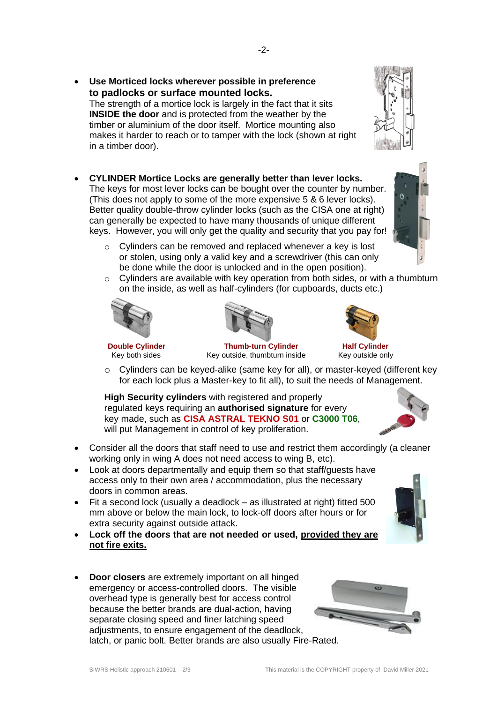- **Use Morticed locks wherever possible in preference to padlocks or surface mounted locks.**  The strength of a mortice lock is largely in the fact that it sits **INSIDE the door** and is protected from the weather by the timber or aluminium of the door itself. Mortice mounting also makes it harder to reach or to tamper with the lock (shown at right in a timber door).
- **CYLINDER Mortice Locks are generally better than lever locks.** The keys for most lever locks can be bought over the counter by number. (This does not apply to some of the more expensive 5 & 6 lever locks). Better quality double-throw cylinder locks (such as the CISA one at right) can generally be expected to have many thousands of unique different keys. However, you will only get the quality and security that you pay for!
	- o Cylinders can be removed and replaced whenever a key is lost or stolen, using only a valid key and a screwdriver (this can only be done while the door is unlocked and in the open position).
	- o Cylinders are available with key operation from both sides, or with a thumbturn on the inside, as well as half-cylinders (for cupboards, ducts etc.)





Key outside, thumbturn inside

- 
- o Cylinders can be keyed-alike (same key for all), or master-keyed (different key for each lock plus a Master-key to fit all), to suit the needs of Management.

**High Security cylinders** with registered and properly regulated keys requiring an **authorised signature** for every key made, such as **CISA ASTRAL TEKNO S01** or **C3000 T06**, will put Management in control of key proliferation.

- Consider all the doors that staff need to use and restrict them accordingly (a cleaner working only in wing A does not need access to wing B, etc).
- Look at doors departmentally and equip them so that staff/guests have access only to their own area / accommodation, plus the necessary doors in common areas.
- Fit a second lock (usually a deadlock as illustrated at right) fitted 500 mm above or below the main lock, to lock-off doors after hours or for extra security against outside attack.
- **Lock off the doors that are not needed or used, provided they are not fire exits.**
- **Door closers** are extremely important on all hinged emergency or access-controlled doors. The visible overhead type is generally best for access control because the better brands are dual-action, having separate closing speed and finer latching speed adjustments, to ensure engagement of the deadlock, latch, or panic bolt. Better brands are also usually Fire-Rated.